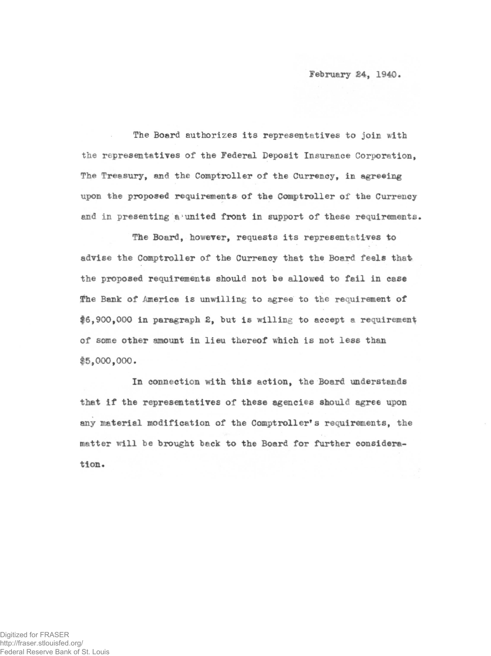**February 24, 1940.** 

The Board authorizes its representatives to join with the representatives of the Federal Deposit Insurance Corporation. The Treasury, and the Comptroller of the Currency, in agreeing upon the proposed requirements of the Comptroller of the Currency and in presenting a united front in support of these requirements.

The Board, however, requests its representatives to advise the Comptroller of the Currency that the Board feels that the proposed requirements should not be allowed to fail in case The Bank of America is unwilling to agree to the requirement of \$6,900,000 in paragraph 2, but is willing to accept a requirement of some other amount in lieu thereof which is not less than \$5,000,000.

In connection with this action, the Board understands that if the representatives of these agencies should agree upon any material modification of the Comptroller's requirements, the matter will be brought back to the Board for further consideration .